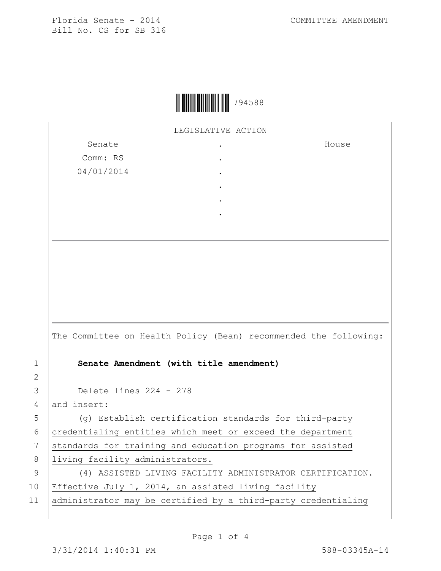Florida Senate - 2014 COMMITTEE AMENDMENT Bill No. CS for SB 316

|  | 794588 |
|--|--------|
|--|--------|

LEGISLATIVE ACTION

. . . . . .

| Senate     |  |
|------------|--|
| Comm: RS   |  |
| 04/01/2014 |  |
|            |  |
|            |  |

House

|                | The Committee on Health Policy (Bean) recommended the following: |
|----------------|------------------------------------------------------------------|
| $\mathbf{1}$   | Senate Amendment (with title amendment)                          |
| $\overline{2}$ |                                                                  |
| 3              | Delete lines $224 - 278$                                         |
| 4              | and insert:                                                      |
| 5              | (q) Establish certification standards for third-party            |
| 6              | credentialing entities which meet or exceed the department       |
| 7              | standards for training and education programs for assisted       |
| 8              | living facility administrators.                                  |
| 9              | (4) ASSISTED LIVING FACILITY ADMINISTRATOR CERTIFICATION.-       |
| 10             | Effective July 1, 2014, an assisted living facility              |
| $-1$           |                                                                  |

11 administrator may be certified by a third-party credentialing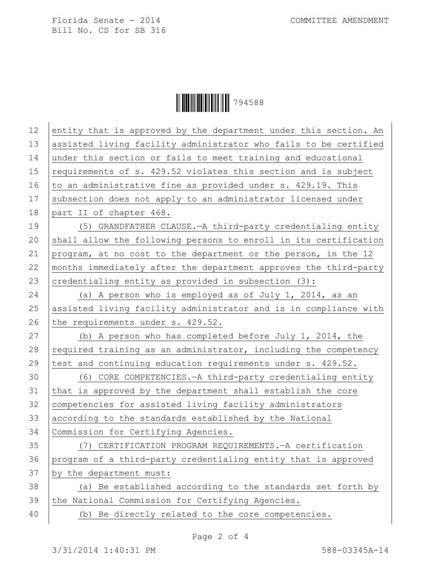Florida Senate - 2014 COMMITTEE AMENDMENT Bill No. CS for SB 316

Ì794588fÎ794588

| 12 | entity that is approved by the department under this section. An |
|----|------------------------------------------------------------------|
| 13 | assisted living facility administrator who fails to be certified |
| 14 | under this section or fails to meet training and educational     |
| 15 | requirements of s. 429.52 violates this section and is subject   |
| 16 | to an administrative fine as provided under s. 429.19. This      |
| 17 | subsection does not apply to an administrator licensed under     |
| 18 | part II of chapter 468.                                          |
| 19 | (5) GRANDFATHER CLAUSE. - A third-party credentialing entity     |
| 20 | shall allow the following persons to enroll in its certification |
| 21 | program, at no cost to the department or the person, in the 12   |
| 22 | months immediately after the department approves the third-party |
| 23 | credentialing entity as provided in subsection (3):              |
| 24 | (a) A person who is employed as of July 1, 2014, as an           |
| 25 | assisted living facility administrator and is in compliance with |
| 26 | the requirements under s. 429.52.                                |
| 27 | (b) A person who has completed before July 1, 2014, the          |
| 28 | required training as an administrator, including the competency  |
| 29 | test and continuing education requirements under s. 429.52.      |
| 30 | (6) CORE COMPETENCIES. - A third-party credentialing entity      |
| 31 | that is approved by the department shall establish the core      |
| 32 | competencies for assisted living facility administrators         |
| 33 | according to the standards established by the National           |
| 34 | Commission for Certifying Agencies.                              |
| 35 | (7) CERTIFICATION PROGRAM REQUIREMENTS. - A certification        |
| 36 | program of a third-party credentialing entity that is approved   |
| 37 | by the department must:                                          |
| 38 | (a) Be established according to the standards set forth by       |
| 39 | the National Commission for Certifying Agencies.                 |
| 40 | (b) Be directly related to the core competencies.                |
|    |                                                                  |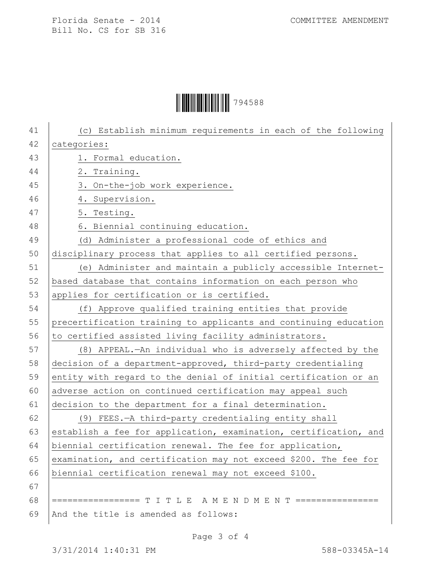## Ì794588fÎ794588

| 41 | (c) Establish minimum requirements in each of the following      |
|----|------------------------------------------------------------------|
| 42 | categories:                                                      |
| 43 | 1. Formal education.                                             |
| 44 | 2. Training.                                                     |
| 45 | 3. On-the-job work experience.                                   |
| 46 | 4. Supervision.                                                  |
| 47 | 5. Testing.                                                      |
| 48 | 6. Biennial continuing education.                                |
| 49 | (d) Administer a professional code of ethics and                 |
| 50 | disciplinary process that applies to all certified persons.      |
| 51 | (e) Administer and maintain a publicly accessible Internet-      |
| 52 | based database that contains information on each person who      |
| 53 | applies for certification or is certified.                       |
| 54 | (f) Approve qualified training entities that provide             |
| 55 | precertification training to applicants and continuing education |
| 56 | to certified assisted living facility administrators.            |
| 57 | (8) APPEAL.—An individual who is adversely affected by the       |
| 58 | decision of a department-approved, third-party credentialing     |
| 59 | entity with regard to the denial of initial certification or an  |
| 60 | adverse action on continued certification may appeal such        |
| 61 | decision to the department for a final determination.            |
| 62 | (9) FEES.-A third-party credentialing entity shall               |
| 63 | establish a fee for application, examination, certification, and |
| 64 | biennial certification renewal. The fee for application,         |
| 65 | examination, and certification may not exceed \$200. The fee for |
| 66 | biennial certification renewal may not exceed \$100.             |
| 67 |                                                                  |
| 68 | ================= T I T L E A M E N D M E N T ================   |
| 69 | And the title is amended as follows:                             |